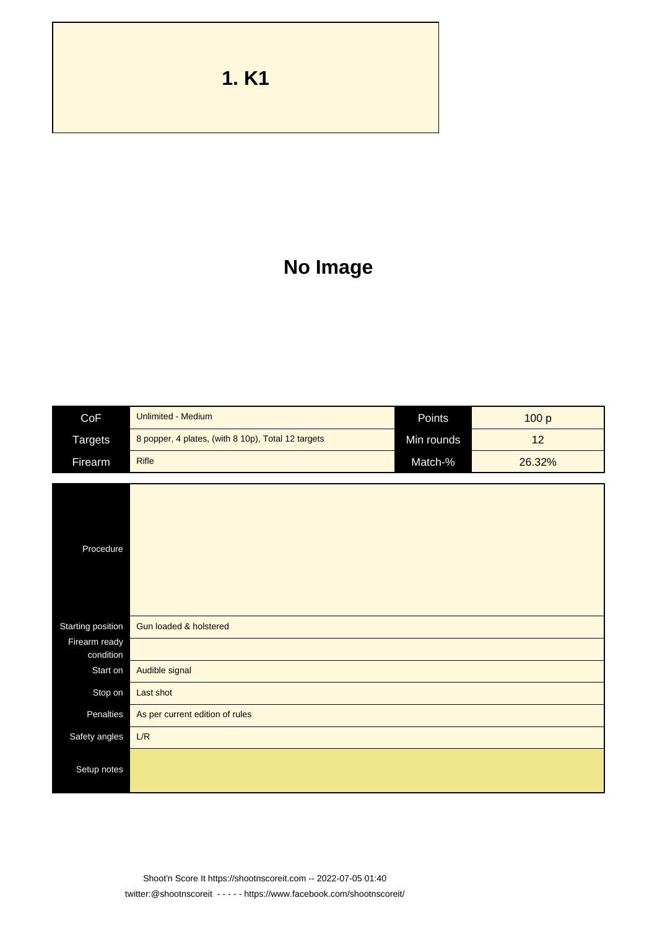**1. K1**

## **No Image**

| CoF               | <b>Unlimited - Medium</b>                          | Points     |        |
|-------------------|----------------------------------------------------|------------|--------|
|                   |                                                    |            | 100 p  |
| <b>Targets</b>    | 8 popper, 4 plates, (with 8 10p), Total 12 targets | Min rounds | 12     |
| Firearm           | <b>Rifle</b>                                       | Match-%    | 26.32% |
|                   |                                                    |            |        |
| Procedure         |                                                    |            |        |
| Starting position | Gun loaded & holstered                             |            |        |
| Firearm ready     |                                                    |            |        |
| condition         |                                                    |            |        |
| Start on          | Audible signal                                     |            |        |
| Stop on           | Last shot                                          |            |        |
| Penalties         | As per current edition of rules                    |            |        |
| Safety angles     | L/R                                                |            |        |
| Setup notes       |                                                    |            |        |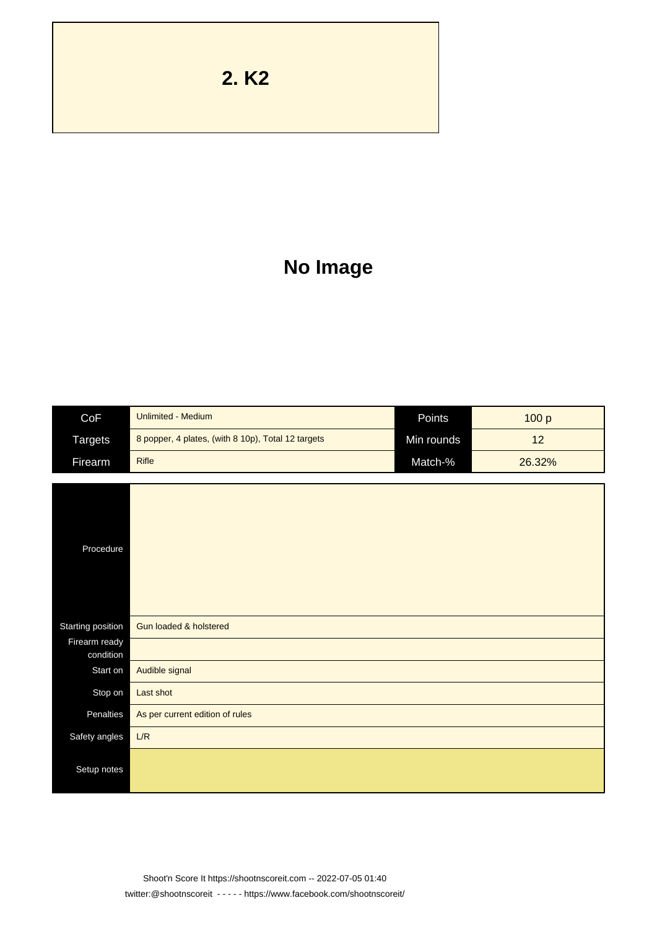**2. K2**

## **No Image**

| CoF                        | <b>Unlimited - Medium</b>                          | Points     | 100 p  |
|----------------------------|----------------------------------------------------|------------|--------|
| <b>Targets</b>             | 8 popper, 4 plates, (with 8 10p), Total 12 targets | Min rounds | 12     |
| Firearm                    | <b>Rifle</b>                                       | Match-%    | 26.32% |
|                            |                                                    |            |        |
| Procedure                  |                                                    |            |        |
| Starting position          | Gun loaded & holstered                             |            |        |
| Firearm ready<br>condition |                                                    |            |        |
| Start on                   | Audible signal                                     |            |        |
| Stop on                    | Last shot                                          |            |        |
| Penalties                  | As per current edition of rules                    |            |        |
| Safety angles              | L/R                                                |            |        |
| Setup notes                |                                                    |            |        |

Shoot'n Score It https://shootnscoreit.com -- 2022-07-05 01:40 twitter:@shootnscoreit - - - - - https://www.facebook.com/shootnscoreit/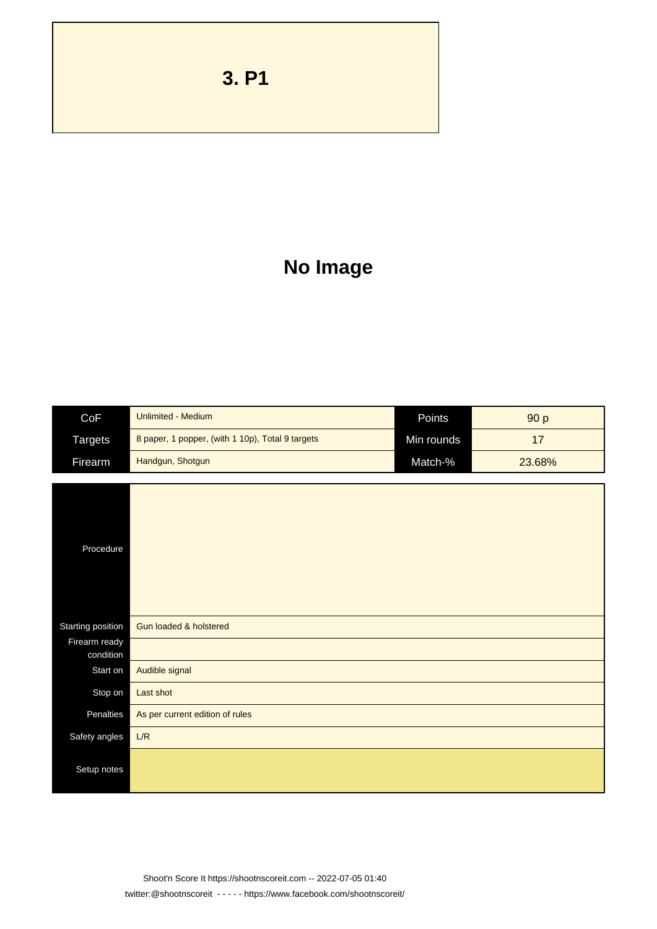**3. P1**

## **No Image**

| CoF                        | <b>Unlimited - Medium</b>                        | Points     | 90 p   |
|----------------------------|--------------------------------------------------|------------|--------|
| <b>Targets</b>             | 8 paper, 1 popper, (with 1 10p), Total 9 targets | Min rounds | 17     |
| Firearm                    | Handgun, Shotgun                                 | Match-%    | 23.68% |
|                            |                                                  |            |        |
| Procedure                  |                                                  |            |        |
| Starting position          | Gun loaded & holstered                           |            |        |
| Firearm ready<br>condition |                                                  |            |        |
| Start on                   | Audible signal                                   |            |        |
| Stop on                    | Last shot                                        |            |        |
| Penalties                  | As per current edition of rules                  |            |        |
| Safety angles              | L/R                                              |            |        |
| Setup notes                |                                                  |            |        |